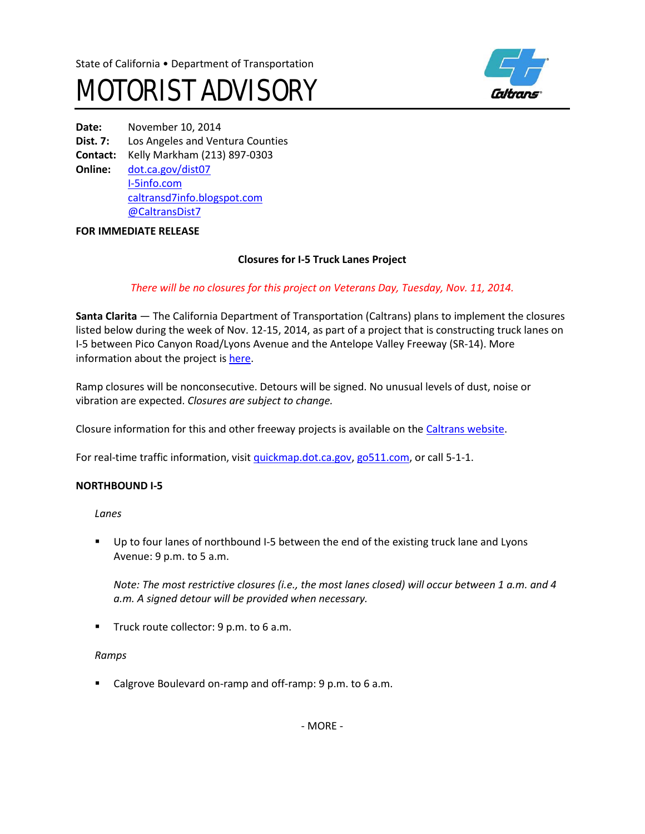



**Date:** November 10, 2014 **Dist. 7:** Los Angeles and Ventura Counties **Contact:** Kelly Markham (213) 897-0303 **Online:** [dot.ca.gov/dist07](http://www.dot.ca.gov/dist07) I-[5info.com](http://www.i-5info.com/) [caltransd7info.blogspot.com](http://caltransd7info.blogspot.com/) @CaltransDist7

## **FOR IMMEDIATE RELEASE**

# **Closures for I-5 Truck Lanes Project**

# *There will be no closures for this project on Veterans Day, Tuesday, Nov. 11, 2014.*

**Santa Clarita** — The California Department of Transportation (Caltrans) plans to implement the closures listed below during the week of Nov. 12-15, 2014, as part of a project that is constructing truck lanes on I-5 between Pico Canyon Road/Lyons Avenue and the Antelope Valley Freeway (SR-14). More information about the project is [here](http://i-5info.com/antelope-valley-freeway-sr-14-to-pico-canyon-road/).

Ramp closures will be nonconsecutive. Detours will be signed. No unusual levels of dust, noise or vibration are expected. *Closures are subject to change.*

Closure information for this and other freeway projects is available on th[e Caltrans website.](http://www.lcswebreports.dot.ca.gov/lcswebreports/SearchPreAction.do?district=7)

For real-time traffic information, visi[t quickmap.dot.ca.gov](http://quickmap.dot.ca.gov/), [go511.com,](http://go511.com/) or call 5-1-1.

# **NORTHBOUND I-5**

*Lanes*

**Up to four lanes of northbound I-5 between the end of the existing truck lane and Lyons** Avenue: 9 p.m. to 5 a.m.

*Note: The most restrictive closures (i.e., the most lanes closed) will occur between 1 a.m. and 4 a.m. A signed detour will be provided when necessary.*

**Truck route collector: 9 p.m. to 6 a.m.** 

#### *Ramps*

■ Calgrove Boulevard on-ramp and off-ramp: 9 p.m. to 6 a.m.